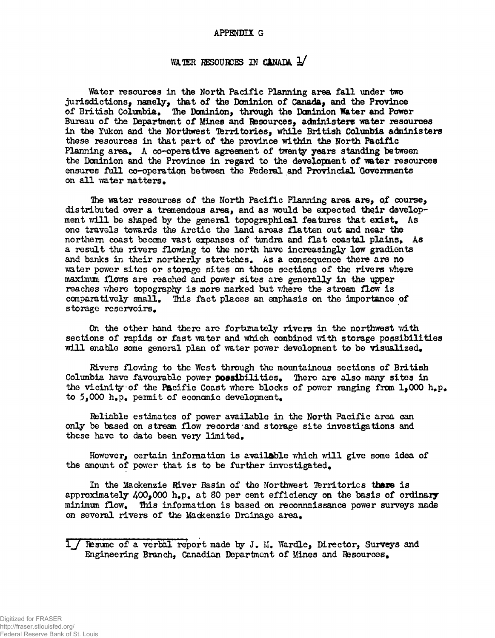## APPENDIX G

## WATER RESOURCES IN CANADA 1/

Water resources in the North Pacific Planning area fall under two jurisdictions, namely, that of the Dominion of Canada, and the Province of British Columbia, The Dominion, through the Dominion Water and Power Bureau of the Department of Mines and Resources, administers water resources in the Yukon and the Northwest Territories, while British Columbia administers these resources in that part of the province within the North Pacific Planning area. A co-operative agreement of twenty years standing between the Dominion and the Province in regard to the development of water resources ensures full co-operation between the Federal and Provincial Governments on all water matters.

The water resources of the North Pacific Planning area are, of course, distributed over a tremendous area, and as would be expected their development will be shaped by the general topographical features that exist. As one travels towards the Arctic the land areas flatten out and near the northern coast become vast expanses of tundra and flat coastal plains, As a result the rivers flowing to the north have increasingly low gradients and banks in their northerly stretches. As a consequence there are no vater power sites or storage sites on those sections of the rivers where maximum flows are reached and power sites are generally in the upper reaches where topography is more marked but where the stream flow is comparatively small. This fact places an emphasis on the importance of storage reservoirs.

On the other hand there are fortunately rivers in the northwest with sections of rapids or fast water and which combined with storage possibilities will enable some general plan of water power development to be visualized.

Rivers flowing to the West through the mountainous sections of British Columbia have favourable power possibilities. There are also many sites in the vicinity of the Pacific Coast where blocks of power ranging from  $1,000$  h.p. to  $5,000$  h.p. permit of economic development.

Reliable estimates of power available in the North Pacific area can only be based on stream flow records and storage site investigations and these have to date been very limited.

However, certain information is available which will give some idea of the amount of power that is to be further investigated.

In the Mackenzie River Basin of the Northwest Territories there is approximately  $400,000$  h.p. at 80 per cent efficiency on the basis of ordinary minimum flow. This information is based on reconnaissance power surveys made on several rivers of the Mackenzie Drainage area.

*X<sub>J</sub>* Resume of a verbal report made by J. M. Wardle, Director, Surveys and Engineering Branch, Canadian Department of Mines and Resources.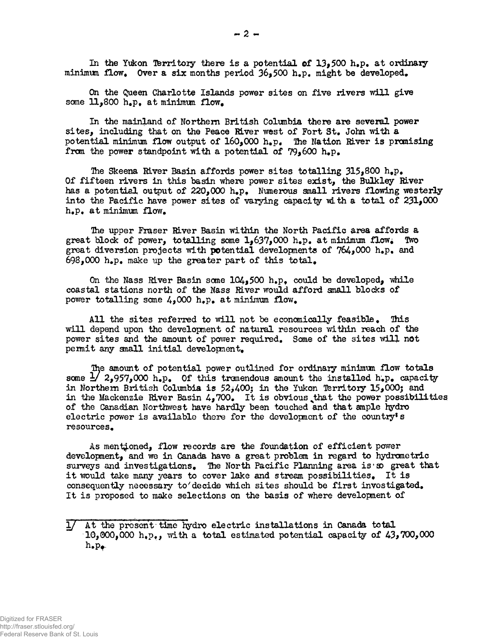In the Yukon Territory there is a potential of  $13.500$  h.p. at ordinary minimum flow. Over a six months period  $36,500$  h.p. might be developed.

On the Queen Charlotte Islands power sites on five rivers will give some  $11,800$  h.p. at minimum flow.

In the mainland of Northern British Columbia there are several power sites, including that on the Peace River west of Fort St. John with a potential minimum flow output of  $160,000$  h.p. The Nation River is promising from the power standpoint with a potential of  $79_1600$  h.p.

The Skeena River Basin affords power sites totalling  $315*800$  h.p. Of fifteen rivers in this basin where power sites exist, the Bulkley River has a potential output of  $220,000$  h.p. Numerous small rivers flowing westerly into the Pacific have power sites of varying capacity with a total of  $231,000$  $h_{\bullet}p_{\bullet}$  at minimum flow.

The upper Fraser River Basin within the North Pacific area affords a block of power, totalling some 1.637.000 h.p. at minimum flow. Two great block of power, totalling some  $1,637,000$  h.p. at minimum flow. great diversion projects with **po**tential developments of  $764,000$  h<sub>\*p</sub>. and  $698,000$  h.p. make up the greater part of this total.

On the Nass River Basin some  $104,500$  h.p. could be developed, while coastal stations north of the Nass River would afford small blocks of power totalling some  $4,000$  h.p. at minimum flow.

All the sites referred to will not be economically feasible. This will depend upon the development of natural resources within reach of the power sites and the amount of power required. Some of the sites will not permit any small initial development.

The amount of potential power outlined for ordinary minimum flow totals some  $\frac{1}{2}$ , 2,957,000 h.p. Of this tremendous amount the installed h.p. capacity in Northern British Columbia is  $52,400$ ; in the Yukon Territory 15,000; and in the Mackenzie River Basin  $4,700$ . It is obvious that the power possibilities of the Canadian Northwest have hardly been touched and that ample hydro electric power is available there for the development of the country's resources.

As mentioned, flow records are the foundation of efficient power development, and we in Canada have a great problem in regard to hydrometric surveys and investigations. The North Pacific Planning area is so great that it would take many years to cover lake and stream possibilities. It is consequently necessary to decide which sites should be first investigated. It is proposed to make selections on the basis of where development of

<sup>1/</sup> At the present time hydro electric installations in Canada total 10,000,000 h.p., with a total estimated potential capacity of  $43,700,000$ <br>h.p.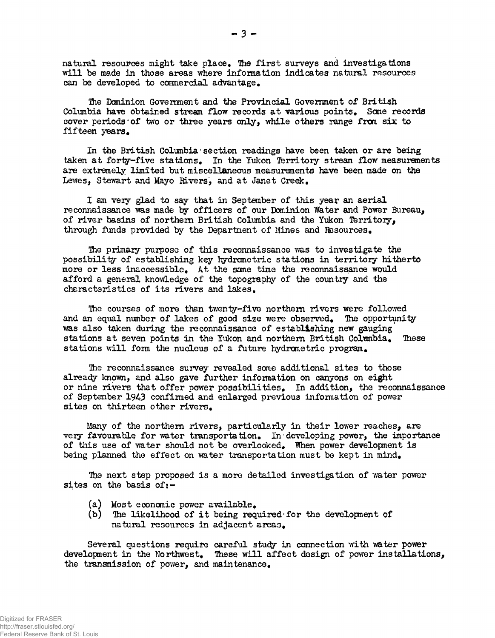natural resources might take place. The first surveys and investigations will be made in those areas where information indicates natural resources can be developed to commercial advantage.

Die Dominion Government and the Provincial Govemnent of British Columbia have obtained stream flow records at various points. Some records cover periods of two or three years only, while others range from six to fifteen years.

In the British Columbia'section readings have been taken or are being taken at forty-five stations. In the Yukon Territory stream flow measurements are extremely limited but miscellaneous measurements have been made on the Lewes, Stewart and Mayo Rivers, and at Janet Creek.

I am very glad to say that in September of this year an aerial reconnaissance was made by officers of our Dominion Water and Power Bureau, of river basins of northern British Columbia and the Yukon Territory, through funds provided by the Department of Mines and Resources.

Ihe primary purpose of this reconnaissance was to investigate the possibility of establishing key hydrometric stations in territory hitherto more or less inaccessible. At the same time the reconnaissance would afford a general knowledge of the topography of the country and the characteristics of its rivers and lakes.

The courses of more than tvrenty-five northern rivers were followed and an equal number of lakes of good size were observed. Ihe opportunity was also taken during the reconnaissance of establishing new gauging stations at seven points in the Yukon and northern British Columbia. These stations will form the nucleus of a future hydrometric program.

Ihe reconnaissance survey revealed some additional sites to those already known, and also gave further information on canyons on eight or nine rivers that offer power possibilities. In addition, the reconnaissance of September 1943 confirmed and enlarged previous information of power sites on thirteen other rivers.

Many of the northern rivers, particularly in their lower reaches, are very favourable for water transportation. In• developing power, the importance of this use of water should not be overlooked. "When power development is being planned the effect on water transportation must be kept in mind.

Ihe next step proposed is a more detailed investigation of water power sites on the basis of:-

- (a) Most economic power available.
- $(b)$  The likelihood of it being required for the development of natural resources in adjacent areas.

Several questions require careful study in connection with water power development in the Northwest. These will affect design of power installations, the transmission of power, and maintenance.